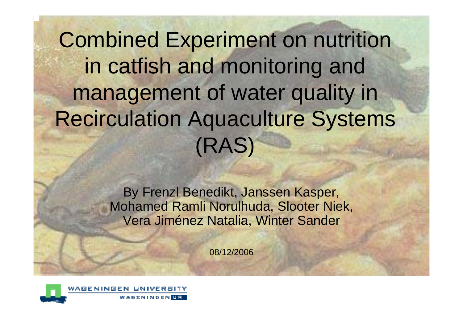Combined Experiment on nutrition in catfish and monitoring and management of water quality in Recirculation Aquaculture Systems (RAS)

> By Frenzl Benedikt, Janssen Kasper, Mohamed Ramli Norulhuda, Slooter Niek, Vera Jiménez Natalia, Winter Sander

> > 08/12/2006

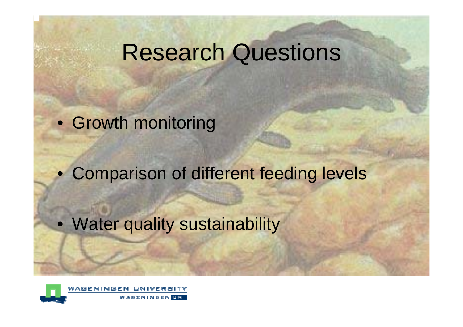# Research Questions

• Growth monitoring

• Comparison of different feeding levels

• Water quality sustainability

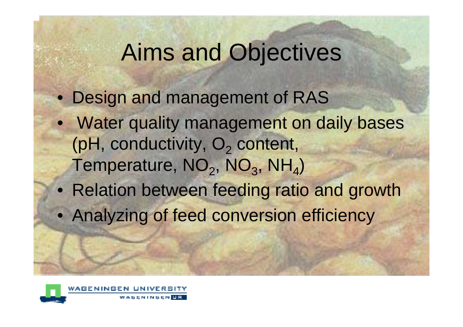# Aims and Objectives

- Design and management of RAS
- Water quality management on daily bases (pH, conductivity, O<sub>2</sub> content, Temperature, NO<sub>2</sub>, NO<sub>3</sub>, NH<sub>4</sub>)
- Relation between feeding ratio and growth
- Analyzing of feed conversion efficiency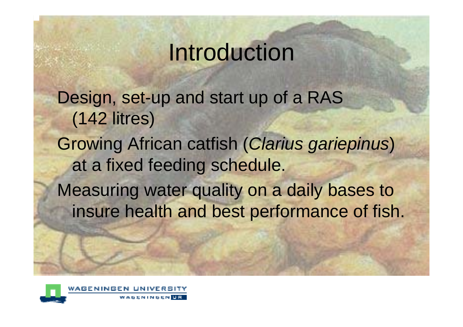# Introduction

Design, set-up and start up of a RAS (142 litres) Growing African catfish (*Clarius gariepinus*) at a fixed feeding schedule.

Measuring water quality on a daily bases to insure health and best performance of fish.

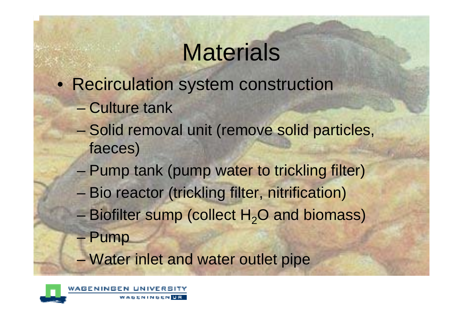# **Materials**

- Recirculation system construction
	- Culture tank
	- –- Solid removal unit (remove solid particles, faeces)
	- –- Pump tank (pump water to trickling filter)
	- –**- Bio reactor (trickling filter, nitrification)**
	- – $-$  Biofilter sump (collect  $H_2O$  and biomass)
	- Pump
	- –– Water inlet and water outlet pipe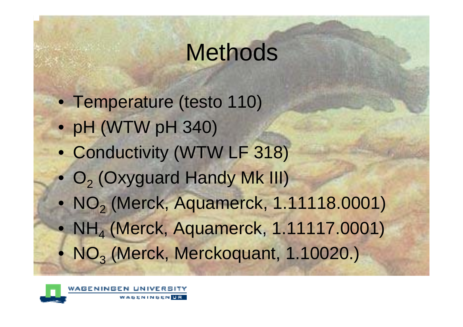# **Methods**

- Temperature (testo 110)
- pH (WTW pH 340)
- Conductivity (WTW LF 318)
- O<sub>2</sub> (Oxyguard Handy Mk III)
- NO<sub>2</sub> (Merck, Aquamerck, 1.11118.0001)
- NH<sub>4</sub> (Merck, Aquamerck, 1.11117.0001)
- NO<sub>3</sub> (Merck, Merckoquant, 1.10020.)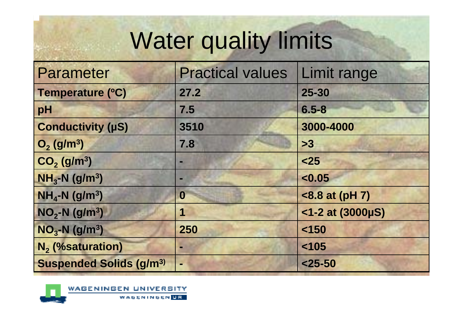# Water quality limits

| Parameter                                 | <b>Practical values</b> | Limit range         |
|-------------------------------------------|-------------------------|---------------------|
| Temperature (°C)                          | 27.2                    | $25 - 30$           |
| pH                                        | 7.5                     | $6.5 - 8$           |
| <b>Conductivity (µS)</b>                  | 3510                    | 3000-4000           |
| $O_2$ (g/m <sup>3</sup> )                 | 7.8                     | >3                  |
| $CO2$ (g/m <sup>3</sup> )                 |                         | $25$                |
| $NH3-N$ (g/m <sup>3</sup> )               |                         | < 0.05              |
| $NH4-N (g/m3)$                            | 0                       | <8.8 at (pH 7)      |
| $NO2-N (g/m3)$                            | 1                       | $<$ 1-2 at (3000µS) |
| $NO3-N (g/m3)$                            | 250                     | < 150               |
| N <sub>2</sub> (%saturation)              |                         | < 105               |
| <b>Suspended Solids (g/m<sup>3)</sup></b> |                         | $25 - 50$           |

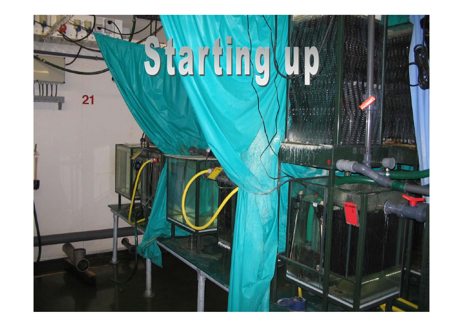# Startinglu

21

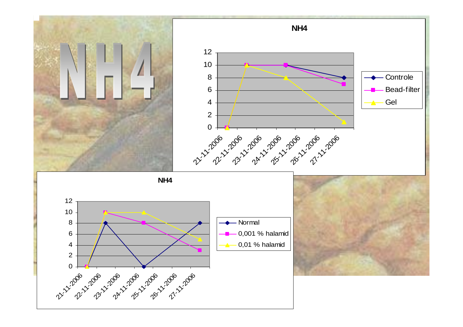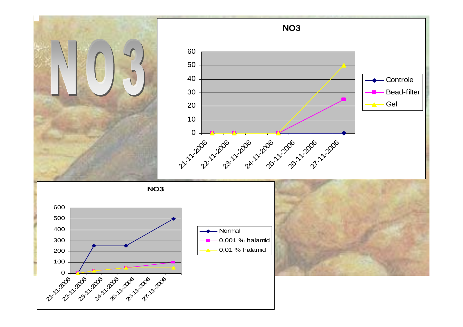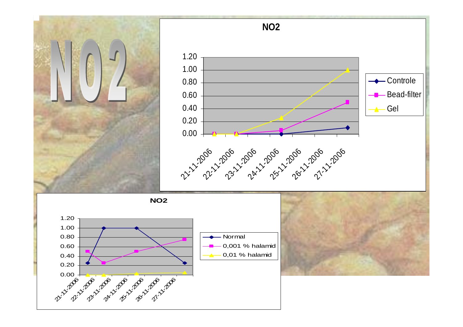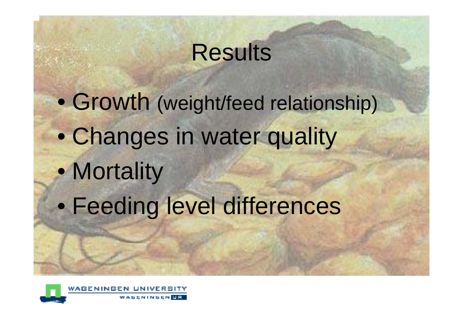# Results

 $\bullet$  Growth (weight/feed relationship)  $\bullet$  Changes in water quality  $\bullet$ • Mortality  $\bullet$ Feeding level differences

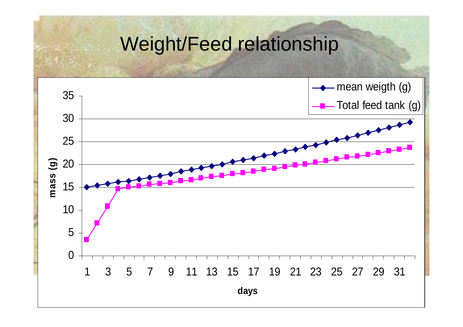#### Weight/Feed relationship

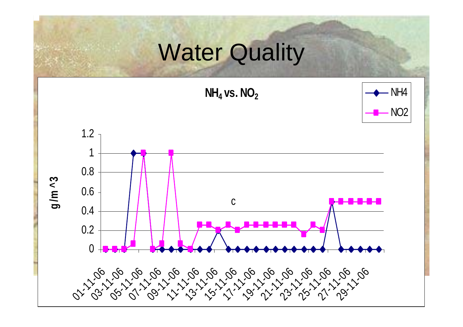## **Water Quality**

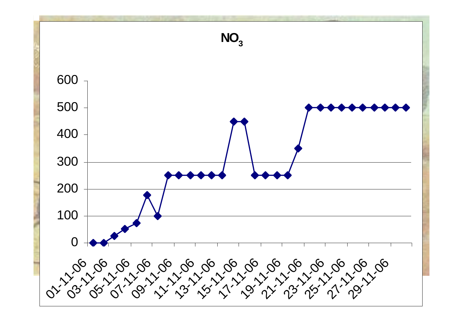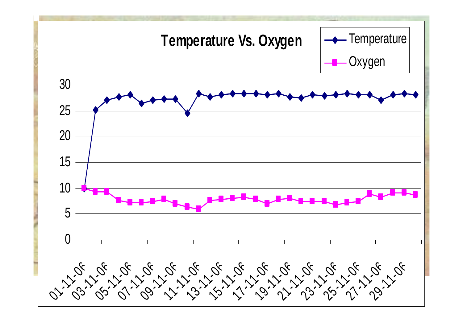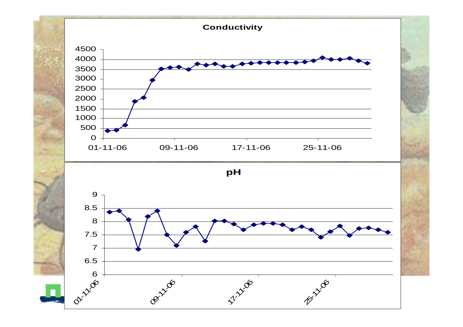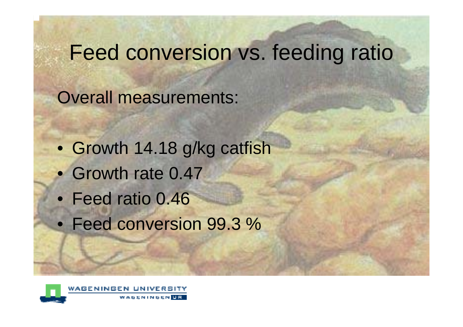### Feed conversion vs. feeding ratio

Overall measurements:

- Growth 14.18 g/kg catfish
- Growth rate 0.47
- Feed ratio 0.46
- Feed conversion 99.3 %

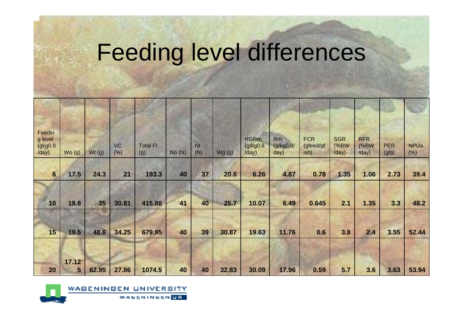# Feeding level differences

| Feedin<br>g level<br>(gkg0.8)<br>/day) | Wo(g)           | Wt(g) | <b>VC</b><br>(%) | <b>Total FI</b><br>(g) | No(N) | Nt<br>(N) | Wg(g) | <b>RGRm</b><br>(g/kg <sub>0.8</sub> )<br>/day) | Rm<br>(g/kg0.8/<br>day) | <b>FCR</b><br>(gfeed/gf<br>ish) | <b>SGR</b><br>(%BW<br>/day) | <b>RFR</b><br>(%BW)<br>/day) | <b>PER</b><br>(g/g) | <b>NPUa</b><br>(% ) |
|----------------------------------------|-----------------|-------|------------------|------------------------|-------|-----------|-------|------------------------------------------------|-------------------------|---------------------------------|-----------------------------|------------------------------|---------------------|---------------------|
| 6                                      | 17.5            | 24.3  | 21               | 193.3                  | 40    | 37        | 20.6  | 6.26                                           | 4.87                    | 0.78                            | 1.35                        | 1.06                         | 2.73                | 39.4                |
|                                        |                 |       |                  |                        |       |           |       |                                                |                         |                                 |                             |                              |                     |                     |
| 10                                     | 18.8            | 35    | 30.81            | 415.88                 | 41    | 40        | 25.7  | 10.07                                          | 6.49                    | 0.645                           | 2.1                         | 1.35                         | 3.3                 | 48.2                |
|                                        |                 |       |                  |                        |       |           |       |                                                |                         |                                 |                             |                              |                     |                     |
| 15                                     | 19.5            | 48.6  | 34.25            | 679.95                 | 40    | 39        | 30.87 | 19.63                                          | 11.76                   | 0.6                             | 3.8                         | 2.4                          | 3.55                | 52.44               |
|                                        |                 |       |                  |                        |       |           |       |                                                |                         |                                 |                             |                              |                     |                     |
|                                        | 17.12           |       |                  |                        |       |           |       |                                                |                         |                                 |                             |                              |                     |                     |
| 20                                     | $5\overline{)}$ | 62.95 | 27.86            | 1074.5                 | 40    | 40        | 32.83 | 30.09                                          | 17.96                   | 0.59                            | 5.7                         | 3.6                          | 3.63                | 53.94               |

RSITY

**WAGENINGEN UE** 

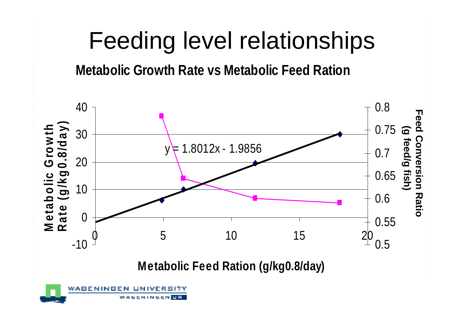# Feeding level relationships

#### **Metabolic Growth Rate vs Metabolic Feed Ration**



**M e t a b olic F e e d R a tio n ( g/k g 0.8/d a y)**

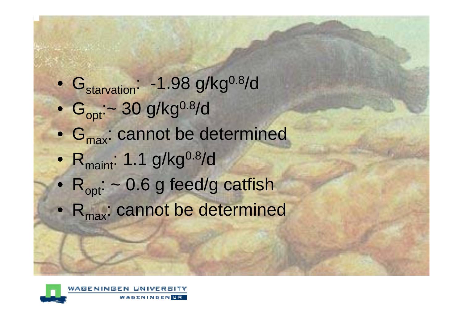- $\bullet$ G<sub>starvation</sub>: -1.98 g/kg<sup>0.8</sup>/d
- $\bullet$  $G_{\text{opt}}$ :~ 30 g/kg<sup>0.8</sup>/d
- G<sub>max</sub>: cannot be determined
- $\bullet$ Rmaint: 1.1 g/kg0.8/d
- $R_{\text{opt}}$ : ~ 0.6 g feed/g catfish
- $R_{\text{max}}$ : cannot be determined

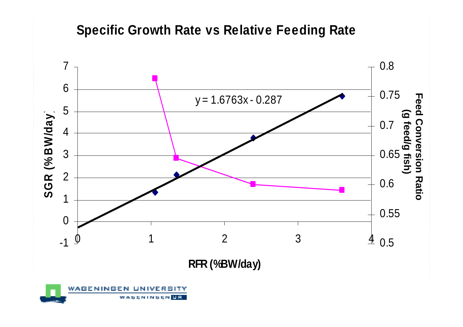#### **Specific Growth Rate vs Relative Feeding Rate**



**RFR (%BW/day)**

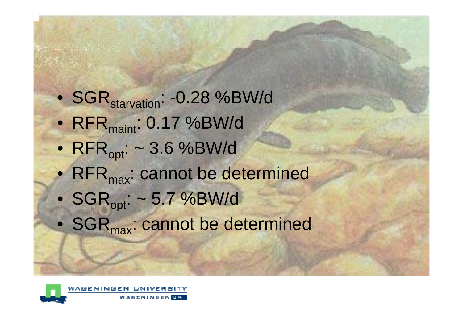- SGR<sub>starvation</sub>: -0.28 %BW/d
- $\bullet$  RFR $_{\sf maint}$ : 0.17 %BW/d
- $\mathsf{RFR}_{\mathsf{opt}}$ : ~ 3.6 %BW/d
- RFR $_{\text{max}}$ : cannot be determined
- $\mathsf{SGR}_{\mathsf{opt}}$ : ~ 5.7 %BW/d
- SGR $_{\textsf{max}}$ : cannot be determined

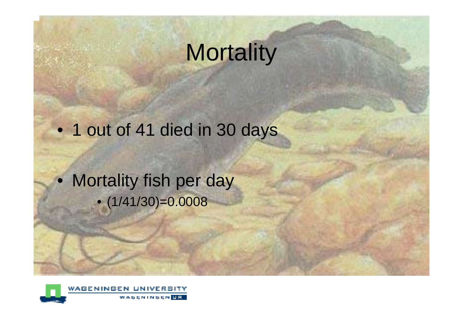# **Mortality**

• 1 out of 41 died in 30 days

• Mortality fish per day • (1/41/30)=0.0008

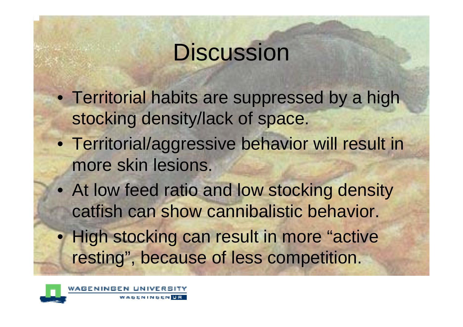# **Discussion**

- Territorial habits are suppressed by a high stocking density/lack of space.
- Territorial/aggressive behavior will result in more skin lesions.
- At low feed ratio and low stocking density catfish can show cannibalistic behavior.
- High stocking can result in more "active resting", because of less competition.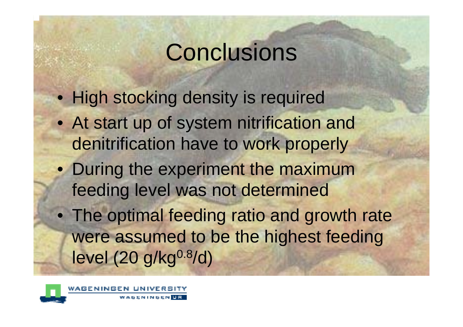# **Conclusions**

- High stocking density is required
- At start up of system nitrification and denitrification have to work properly
- During the experiment the maximum feeding level was not determined
- The optimal feeding ratio and growth rate were assumed to be the highest feeding  $level (20 g/kg<sup>0.8</sup>/d)$

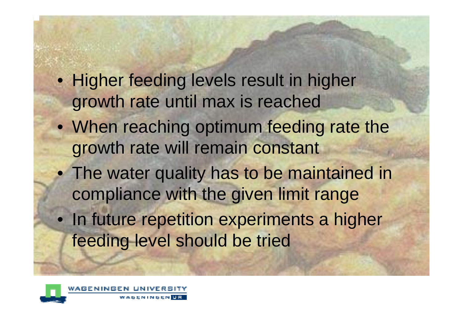- Higher feeding levels result in higher growth rate until max is reached
- When reaching optimum feeding rate the growth rate will remain constant
- The water quality has to be maintained in compliance with the given limit range
- In future repetition experiments a higher feeding level should be tried